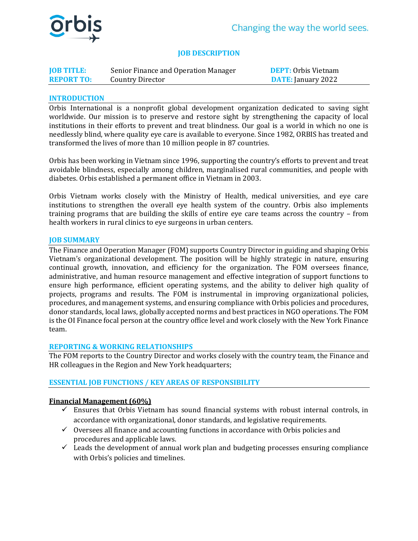

## **JOB DESCRIPTION**

| <b>JOB TITLE:</b> | Senior Finance and Operation Manager | <b>DEPT:</b> Orbis Vietnam |
|-------------------|--------------------------------------|----------------------------|
| <b>REPORT TO:</b> | Country Director                     | <b>DATE:</b> January 2022  |

### **INTRODUCTION**

Orbis International is a nonprofit global development organization dedicated to saving sight worldwide. Our mission is to preserve and restore sight by strengthening the capacity of local institutions in their efforts to prevent and treat blindness. Our goal is a world in which no one is needlessly blind, where quality eye care is available to everyone. Since 1982, ORBIS has treated and transformed the lives of more than 10 million people in 87 countries.

Orbis has been working in Vietnam since 1996, supporting the country's efforts to prevent and treat avoidable blindness, especially among children, marginalised rural communities, and people with diabetes. Orbis established a permanent office in Vietnam in 2003.

Orbis Vietnam works closely with the Ministry of Health, medical universities, and eye care institutions to strengthen the overall eye health system of the country. Orbis also implements training programs that are building the skills of entire eye care teams across the country – from health workers in rural clinics to eye surgeons in urban centers.

#### **JOB SUMMARY**

The Finance and Operation Manager (FOM) supports Country Director in guiding and shaping Orbis Vietnam's organizational development. The position will be highly strategic in nature, ensuring continual growth, innovation, and efficiency for the organization. The FOM oversees finance, administrative, and human resource management and effective integration of support functions to ensure high performance, efficient operating systems, and the ability to deliver high quality of projects, programs and results. The FOM is instrumental in improving organizational policies, procedures, and management systems, and ensuring compliance with Orbis policies and procedures, donor standards, local laws, globally accepted norms and best practices in NGO operations. The FOM is the OI Finance focal person at the country office level and work closely with the New York Finance team.

#### **REPORTING & WORKING RELATIONSHIPS**

The FOM reports to the Country Director and works closely with the country team, the Finance and HR colleagues in the Region and New York headquarters;

## **ESSENTIAL JOB FUNCTIONS / KEY AREAS OF RESPONSIBILITY**

#### **Financial Management (60%)**

- $\checkmark$  Ensures that Orbis Vietnam has sound financial systems with robust internal controls, in accordance with organizational, donor standards, and legislative requirements.
- $\checkmark$  Oversees all finance and accounting functions in accordance with Orbis policies and procedures and applicable laws.
- $\checkmark$  Leads the development of annual work plan and budgeting processes ensuring compliance with Orbis's policies and timelines.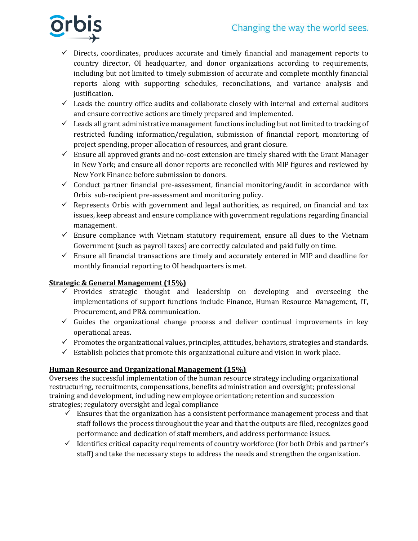

- $\checkmark$  Directs, coordinates, produces accurate and timely financial and management reports to country director, OI headquarter, and donor organizations according to requirements, including but not limited to timely submission of accurate and complete monthly financial reports along with supporting schedules, reconciliations, and variance analysis and justification.
- $\checkmark$  Leads the country office audits and collaborate closely with internal and external auditors and ensure corrective actions are timely prepared and implemented.
- $\checkmark$  Leads all grant administrative management functions including but not limited to tracking of restricted funding information/regulation, submission of financial report, monitoring of project spending, proper allocation of resources, and grant closure.
- $\checkmark$  Ensure all approved grants and no-cost extension are timely shared with the Grant Manager in New York; and ensure all donor reports are reconciled with MIP figures and reviewed by New York Finance before submission to donors.
- $\checkmark$  Conduct partner financial pre-assessment, financial monitoring/audit in accordance with Orbis sub-recipient pre-assessment and monitoring policy.
- $\checkmark$  Represents Orbis with government and legal authorities, as required, on financial and tax issues, keep abreast and ensure compliance with government regulations regarding financial management.
- $\checkmark$  Ensure compliance with Vietnam statutory requirement, ensure all dues to the Vietnam Government (such as payroll taxes) are correctly calculated and paid fully on time.
- ✓ Ensure all financial transactions are timely and accurately entered in MIP and deadline for monthly financial reporting to OI headquarters is met.

# **Strategic & General Management (15%)**

- $\checkmark$  Provides strategic thought and leadership on developing and overseeing the implementations of support functions include Finance, Human Resource Management, IT, Procurement, and PR& communication.
- $\checkmark$  Guides the organizational change process and deliver continual improvements in key operational areas.
- $\checkmark$  Promotes the organizational values, principles, attitudes, behaviors, strategies and standards.
- $\checkmark$  Establish policies that promote this organizational culture and vision in work place.

# **Human Resource and Organizational Management (15%)**

Oversees the successful implementation of the human resource strategy including organizational restructuring, recruitments, compensations, benefits administration and oversight; professional training and development, including new employee orientation; retention and succession strategies; regulatory oversight and legal compliance

- $\checkmark$  Ensures that the organization has a consistent performance management process and that staff follows the process throughout the year and that the outputs are filed, recognizes good performance and dedication of staff members, and address performance issues.
- $\checkmark$  Identifies critical capacity requirements of country workforce (for both Orbis and partner's staff) and take the necessary steps to address the needs and strengthen the organization.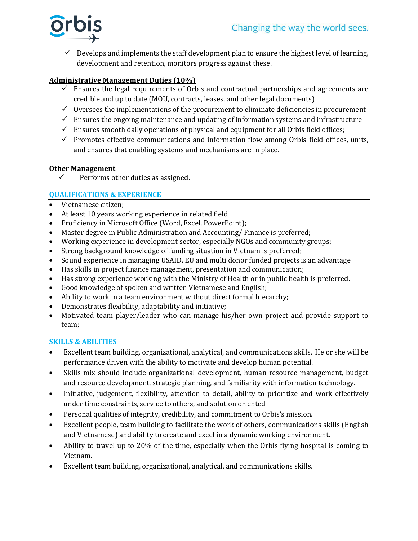

 $\checkmark$  Develops and implements the staff development plan to ensure the highest level of learning, development and retention, monitors progress against these.

## **Administrative Management Duties (10%)**

- $\checkmark$  Ensures the legal requirements of Orbis and contractual partnerships and agreements are credible and up to date (MOU, contracts, leases, and other legal documents)
- $\checkmark$  Oversees the implementations of the procurement to eliminate deficiencies in procurement
- $\checkmark$  Ensures the ongoing maintenance and updating of information systems and infrastructure
- $\checkmark$  Ensures smooth daily operations of physical and equipment for all Orbis field offices;
- $\checkmark$  Promotes effective communications and information flow among Orbis field offices, units, and ensures that enabling systems and mechanisms are in place.

## **Other Management**

 $\checkmark$  Performs other duties as assigned.

# **QUALIFICATIONS & EXPERIENCE**

- Vietnamese citizen;
- At least 10 years working experience in related field
- Proficiency in Microsoft Office (Word, Excel, PowerPoint);
- Master degree in Public Administration and Accounting/ Finance is preferred;
- Working experience in development sector, especially NGOs and community groups;
- Strong background knowledge of funding situation in Vietnam is preferred;
- Sound experience in managing USAID, EU and multi donor funded projects is an advantage
- Has skills in project finance management, presentation and communication;
- Has strong experience working with the Ministry of Health or in public health is preferred.
- Good knowledge of spoken and written Vietnamese and English;
- Ability to work in a team environment without direct formal hierarchy;
- Demonstrates flexibility, adaptability and initiative;
- Motivated team player/leader who can manage his/her own project and provide support to team;

## **SKILLS & ABILITIES**

- Excellent team building, organizational, analytical, and communications skills. He or she will be performance driven with the ability to motivate and develop human potential.
- Skills mix should include organizational development, human resource management, budget and resource development, strategic planning, and familiarity with information technology.
- Initiative, judgement, flexibility, attention to detail, ability to prioritize and work effectively under time constraints, service to others, and solution oriented
- Personal qualities of integrity, credibility, and commitment to Orbis's mission.
- Excellent people, team building to facilitate the work of others, communications skills (English and Vietnamese) and ability to create and excel in a dynamic working environment.
- Ability to travel up to 20% of the time, especially when the Orbis flying hospital is coming to Vietnam.
- Excellent team building, organizational, analytical, and communications skills.